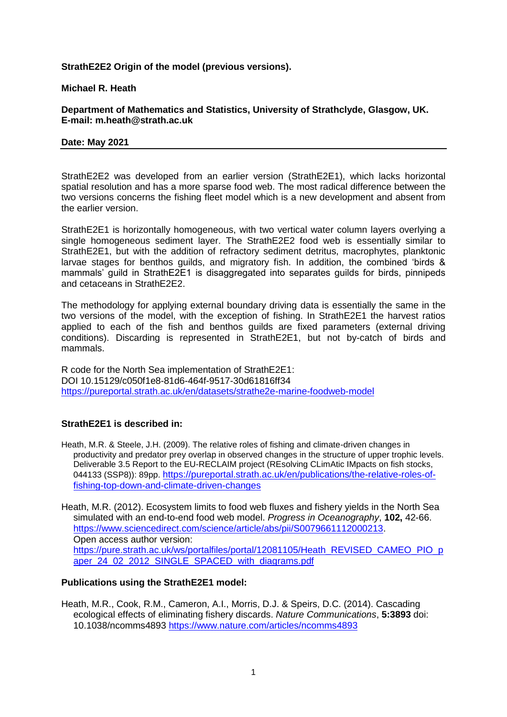## **StrathE2E2 Origin of the model (previous versions).**

### **Michael R. Heath**

**Department of Mathematics and Statistics, University of Strathclyde, Glasgow, UK. E-mail: m.heath@strath.ac.uk**

#### **Date: May 2021**

StrathE2E2 was developed from an earlier version (StrathE2E1), which lacks horizontal spatial resolution and has a more sparse food web. The most radical difference between the two versions concerns the fishing fleet model which is a new development and absent from the earlier version.

StrathE2E1 is horizontally homogeneous, with two vertical water column layers overlying a single homogeneous sediment layer. The StrathE2E2 food web is essentially similar to StrathE2E1, but with the addition of refractory sediment detritus, macrophytes, planktonic larvae stages for benthos guilds, and migratory fish. In addition, the combined 'birds & mammals' guild in StrathE2E1 is disaggregated into separates guilds for birds, pinnipeds and cetaceans in StrathE2E2.

The methodology for applying external boundary driving data is essentially the same in the two versions of the model, with the exception of fishing. In StrathE2E1 the harvest ratios applied to each of the fish and benthos guilds are fixed parameters (external driving conditions). Discarding is represented in StrathE2E1, but not by-catch of birds and mammals.

R code for the North Sea implementation of StrathE2E1: DOI 10.15129/c050f1e8-81d6-464f-9517-30d61816ff34 <https://pureportal.strath.ac.uk/en/datasets/strathe2e-marine-foodweb-model>

# **StrathE2E1 is described in:**

Heath, M.R. & Steele, J.H. (2009). The relative roles of fishing and climate-driven changes in productivity and predator prey overlap in observed changes in the structure of upper trophic levels. Deliverable 3.5 Report to the EU-RECLAIM project (REsolving CLimAtic IMpacts on fish stocks, 044133 (SSP8)): 89pp. [https://pureportal.strath.ac.uk/en/publications/the-relative-roles-of](https://pureportal.strath.ac.uk/en/publications/the-relative-roles-of-fishing-top-down-and-climate-driven-changes)[fishing-top-down-and-climate-driven-changes](https://pureportal.strath.ac.uk/en/publications/the-relative-roles-of-fishing-top-down-and-climate-driven-changes)

Heath, M.R. (2012). Ecosystem limits to food web fluxes and fishery yields in the North Sea simulated with an end-to-end food web model. *Progress in Oceanography*, **102,** 42-66. [https://www.sciencedirect.com/science/article/abs/pii/S0079661112000213.](https://www.sciencedirect.com/science/article/abs/pii/S0079661112000213) Open access author version: [https://pure.strath.ac.uk/ws/portalfiles/portal/12081105/Heath\\_REVISED\\_CAMEO\\_PIO\\_p](https://pure.strath.ac.uk/ws/portalfiles/portal/12081105/Heath_REVISED_CAMEO_PIO_paper_24_02_2012_SINGLE_SPACED_with_diagrams.pdf) aper 24\_02\_2012\_SINGLE\_SPACED\_with\_diagrams.pdf

### **Publications using the StrathE2E1 model:**

Heath, M.R., Cook, R.M., Cameron, A.I., Morris, D.J. & Speirs, D.C. (2014). Cascading ecological effects of eliminating fishery discards. *Nature Communications*, **5:3893** doi: 10.1038/ncomms4893<https://www.nature.com/articles/ncomms4893>